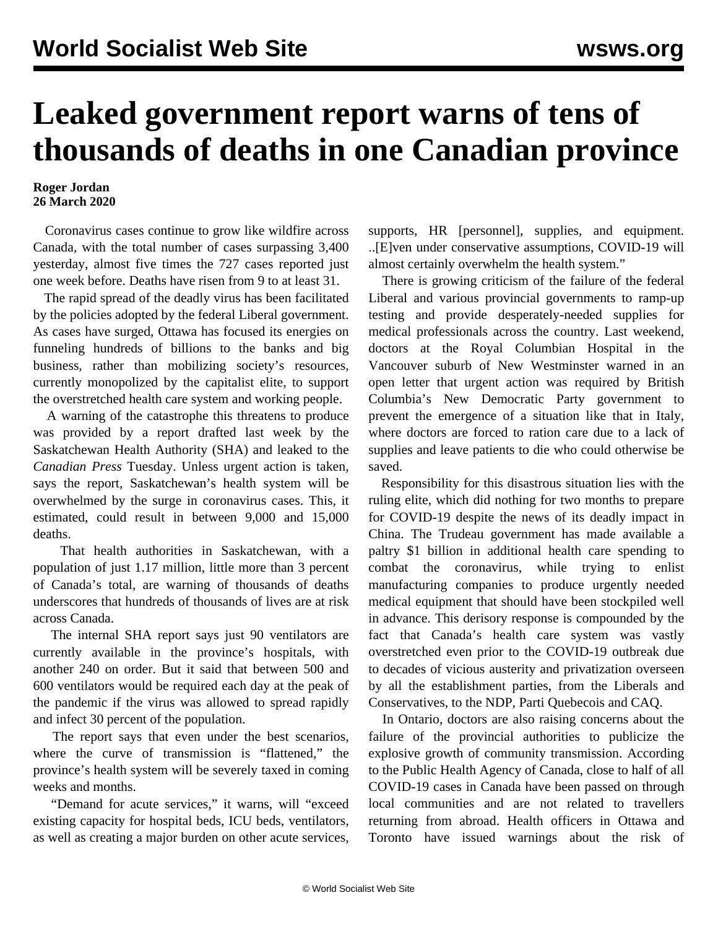## **Leaked government report warns of tens of thousands of deaths in one Canadian province**

## **Roger Jordan 26 March 2020**

 Coronavirus cases continue to grow like wildfire across Canada, with the total number of cases surpassing 3,400 yesterday, almost five times the 727 cases reported just one week before. Deaths have risen from 9 to at least 31.

 The rapid spread of the deadly virus has been facilitated by the policies adopted by the federal Liberal government. As cases have surged, Ottawa has focused its energies on funneling hundreds of billions to the banks and big business, rather than mobilizing society's resources, currently monopolized by the capitalist elite, to support the overstretched health care system and working people.

 A warning of the catastrophe this threatens to produce was provided by a report drafted last week by the Saskatchewan Health Authority (SHA) and leaked to the *Canadian Press* Tuesday. Unless urgent action is taken, says the report, Saskatchewan's health system will be overwhelmed by the surge in coronavirus cases. This, it estimated, could result in between 9,000 and 15,000 deaths.

 That health authorities in Saskatchewan, with a population of just 1.17 million, little more than 3 percent of Canada's total, are warning of thousands of deaths underscores that hundreds of thousands of lives are at risk across Canada.

 The internal SHA report says just 90 ventilators are currently available in the province's hospitals, with another 240 on order. But it said that between 500 and 600 ventilators would be required each day at the peak of the pandemic if the virus was allowed to spread rapidly and infect 30 percent of the population.

 The report says that even under the best scenarios, where the curve of transmission is "flattened," the province's health system will be severely taxed in coming weeks and months.

 "Demand for acute services," it warns, will "exceed existing capacity for hospital beds, ICU beds, ventilators, as well as creating a major burden on other acute services, supports, HR [personnel], supplies, and equipment. ..[E]ven under conservative assumptions, COVID-19 will almost certainly overwhelm the health system."

 There is growing criticism of the failure of the federal Liberal and various provincial governments to ramp-up testing and provide desperately-needed supplies for medical professionals across the country. Last weekend, doctors at the Royal Columbian Hospital in the Vancouver suburb of New Westminster warned in an open letter that urgent action was required by British Columbia's New Democratic Party government to prevent the emergence of a situation like that in Italy, where doctors are forced to ration care due to a lack of supplies and leave patients to die who could otherwise be saved.

 Responsibility for this disastrous situation lies with the ruling elite, which did nothing for two months to prepare for COVID-19 despite the news of its deadly impact in China. The Trudeau government has made available a paltry \$1 billion in additional health care spending to combat the coronavirus, while trying to enlist manufacturing companies to produce urgently needed medical equipment that should have been stockpiled well in advance. This derisory response is compounded by the fact that Canada's health care system was vastly overstretched even prior to the COVID-19 outbreak due to decades of vicious austerity and privatization overseen by all the establishment parties, from the Liberals and Conservatives, to the NDP, Parti Quebecois and CAQ.

 In Ontario, doctors are also raising concerns about the failure of the provincial authorities to publicize the explosive growth of community transmission. According to the Public Health Agency of Canada, close to half of all COVID-19 cases in Canada have been passed on through local communities and are not related to travellers returning from abroad. Health officers in Ottawa and Toronto have issued warnings about the risk of